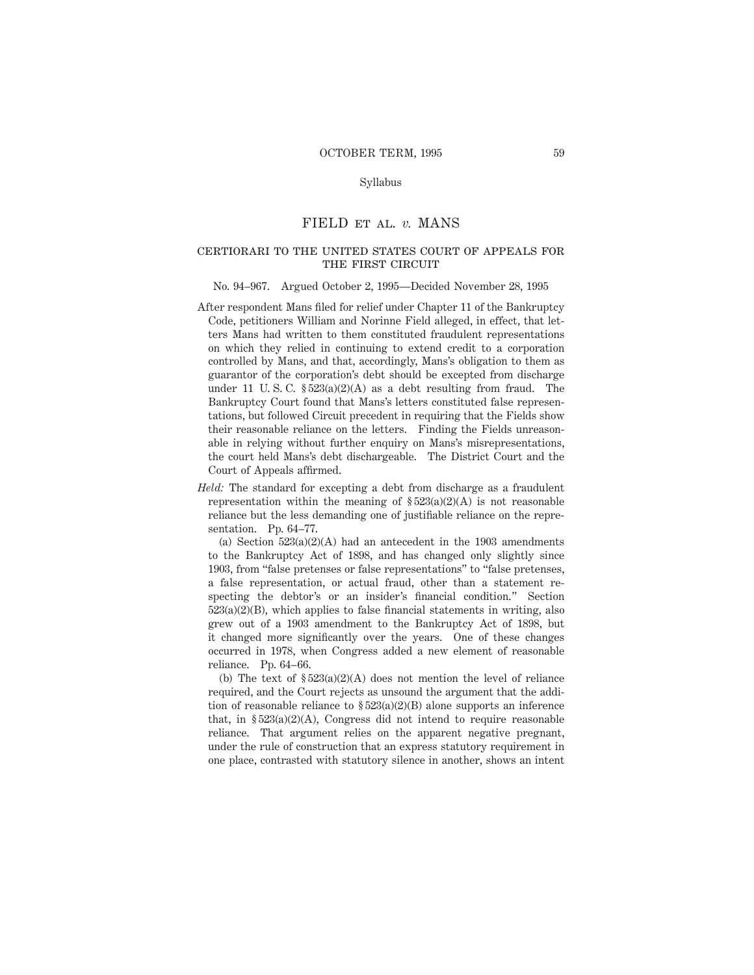## Syllabus

## FIELD et al. *v.* MANS

# certiorari to the united states court of appeals for THE FIRST CIRCUIT

#### No. 94–967. Argued October 2, 1995—Decided November 28, 1995

- After respondent Mans filed for relief under Chapter 11 of the Bankruptcy Code, petitioners William and Norinne Field alleged, in effect, that letters Mans had written to them constituted fraudulent representations on which they relied in continuing to extend credit to a corporation controlled by Mans, and that, accordingly, Mans's obligation to them as guarantor of the corporation's debt should be excepted from discharge under 11 U.S.C.  $\S 523(a)(2)(A)$  as a debt resulting from fraud. The Bankruptcy Court found that Mans's letters constituted false representations, but followed Circuit precedent in requiring that the Fields show their reasonable reliance on the letters. Finding the Fields unreasonable in relying without further enquiry on Mans's misrepresentations, the court held Mans's debt dischargeable. The District Court and the Court of Appeals affirmed.
- *Held:* The standard for excepting a debt from discharge as a fraudulent representation within the meaning of  $\S 523(a)(2)(A)$  is not reasonable reliance but the less demanding one of justifiable reliance on the representation. Pp. 64–77.

(a) Section  $523(a)(2)(A)$  had an antecedent in the 1903 amendments to the Bankruptcy Act of 1898, and has changed only slightly since 1903, from "false pretenses or false representations" to "false pretenses, a false representation, or actual fraud, other than a statement respecting the debtor's or an insider's financial condition." Section  $523(a)(2)(B)$ , which applies to false financial statements in writing, also grew out of a 1903 amendment to the Bankruptcy Act of 1898, but it changed more significantly over the years. One of these changes occurred in 1978, when Congress added a new element of reasonable reliance. Pp. 64–66.

(b) The text of  $\S 523(a)(2)(A)$  does not mention the level of reliance required, and the Court rejects as unsound the argument that the addition of reasonable reliance to  $\S 523(a)(2)(B)$  alone supports an inference that, in  $\S 523(a)(2)(A)$ , Congress did not intend to require reasonable reliance. That argument relies on the apparent negative pregnant, under the rule of construction that an express statutory requirement in one place, contrasted with statutory silence in another, shows an intent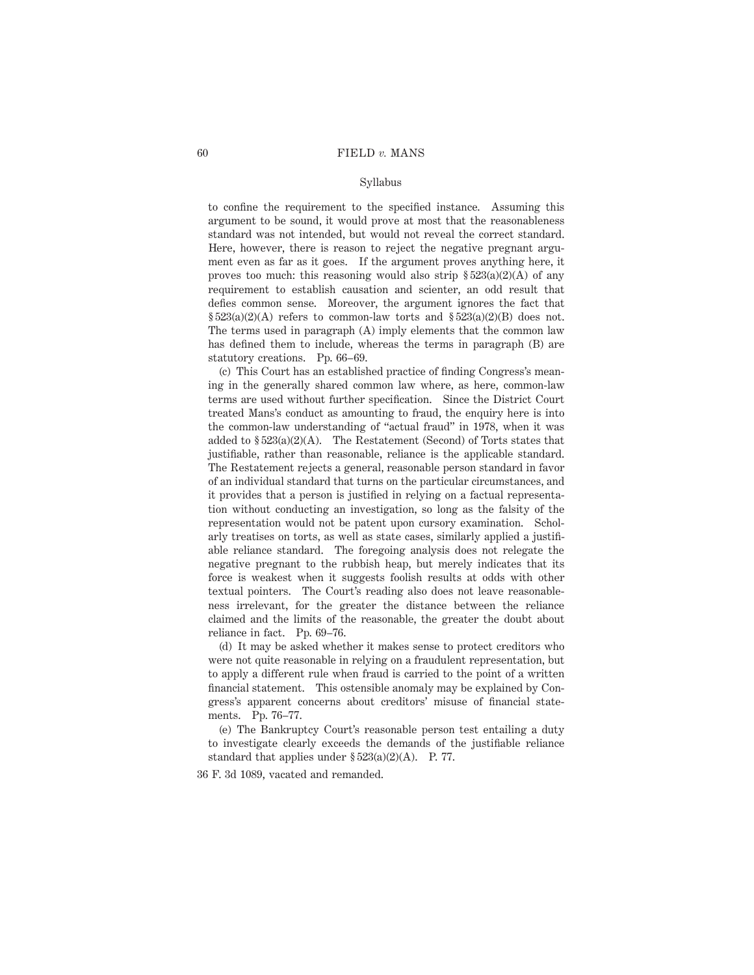### Syllabus

to confine the requirement to the specified instance. Assuming this argument to be sound, it would prove at most that the reasonableness standard was not intended, but would not reveal the correct standard. Here, however, there is reason to reject the negative pregnant argument even as far as it goes. If the argument proves anything here, it proves too much: this reasoning would also strip  $\S 523(a)(2)(A)$  of any requirement to establish causation and scienter, an odd result that defies common sense. Moreover, the argument ignores the fact that  $$523(a)(2)(A)$  refers to common-law torts and  $$523(a)(2)(B)$  does not. The terms used in paragraph (A) imply elements that the common law has defined them to include, whereas the terms in paragraph (B) are statutory creations. Pp. 66–69.

(c) This Court has an established practice of finding Congress's meaning in the generally shared common law where, as here, common-law terms are used without further specification. Since the District Court treated Mans's conduct as amounting to fraud, the enquiry here is into the common-law understanding of "actual fraud" in 1978, when it was added to  $\S 523(a)(2)(A)$ . The Restatement (Second) of Torts states that justifiable, rather than reasonable, reliance is the applicable standard. The Restatement rejects a general, reasonable person standard in favor of an individual standard that turns on the particular circumstances, and it provides that a person is justified in relying on a factual representation without conducting an investigation, so long as the falsity of the representation would not be patent upon cursory examination. Scholarly treatises on torts, as well as state cases, similarly applied a justifiable reliance standard. The foregoing analysis does not relegate the negative pregnant to the rubbish heap, but merely indicates that its force is weakest when it suggests foolish results at odds with other textual pointers. The Court's reading also does not leave reasonableness irrelevant, for the greater the distance between the reliance claimed and the limits of the reasonable, the greater the doubt about reliance in fact. Pp. 69–76.

(d) It may be asked whether it makes sense to protect creditors who were not quite reasonable in relying on a fraudulent representation, but to apply a different rule when fraud is carried to the point of a written financial statement. This ostensible anomaly may be explained by Congress's apparent concerns about creditors' misuse of financial statements. Pp. 76–77.

(e) The Bankruptcy Court's reasonable person test entailing a duty to investigate clearly exceeds the demands of the justifiable reliance standard that applies under  $\S 523(a)(2)(A)$ . P. 77.

36 F. 3d 1089, vacated and remanded.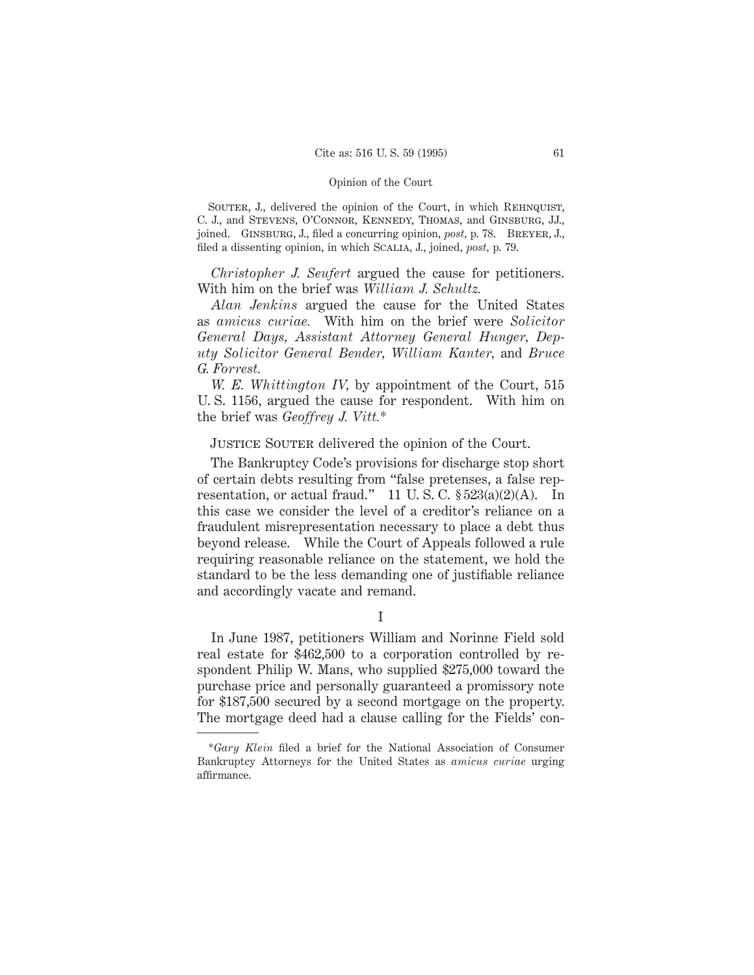SOUTER, J., delivered the opinion of the Court, in which REHNQUIST, C. J., and Stevens, O'Connor, Kennedy, Thomas, and Ginsburg, JJ., joined. Ginsburg, J., filed a concurring opinion, *post,* p. 78. Breyer, J., filed a dissenting opinion, in which Scalia, J., joined, *post,* p. 79.

*Christopher J. Seufert* argued the cause for petitioners. With him on the brief was *William J. Schultz.*

*Alan Jenkins* argued the cause for the United States as *amicus curiae.* With him on the brief were *Solicitor General Days, Assistant Attorney General Hunger, Deputy Solicitor General Bender, William Kanter,* and *Bruce G. Forrest.*

*W. E. Whittington IV,* by appointment of the Court, 515 U. S. 1156, argued the cause for respondent. With him on the brief was *Geoffrey J. Vitt.*\*

JUSTICE SOUTER delivered the opinion of the Court.

The Bankruptcy Code's provisions for discharge stop short of certain debts resulting from "false pretenses, a false representation, or actual fraud." 11 U.S.C.  $\S 523(a)(2)(A)$ . In this case we consider the level of a creditor's reliance on a fraudulent misrepresentation necessary to place a debt thus beyond release. While the Court of Appeals followed a rule requiring reasonable reliance on the statement, we hold the standard to be the less demanding one of justifiable reliance and accordingly vacate and remand.

I

In June 1987, petitioners William and Norinne Field sold real estate for \$462,500 to a corporation controlled by respondent Philip W. Mans, who supplied \$275,000 toward the purchase price and personally guaranteed a promissory note for \$187,500 secured by a second mortgage on the property. The mortgage deed had a clause calling for the Fields' con-

<sup>\*</sup>*Gary Klein* filed a brief for the National Association of Consumer Bankruptcy Attorneys for the United States as *amicus curiae* urging affirmance.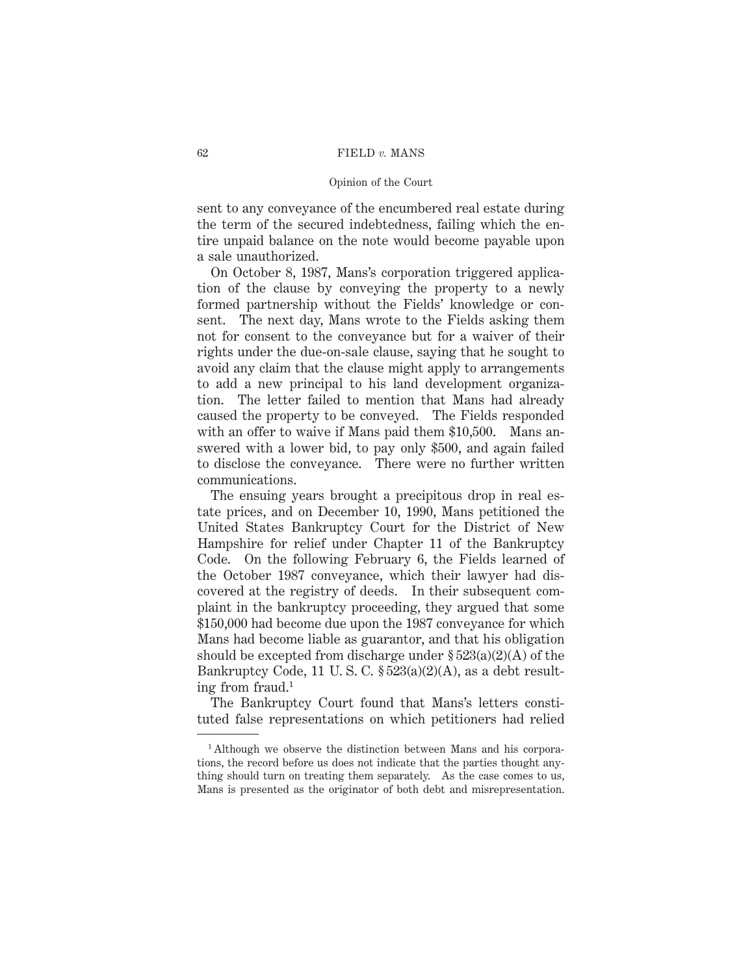### Opinion of the Court

sent to any conveyance of the encumbered real estate during the term of the secured indebtedness, failing which the entire unpaid balance on the note would become payable upon a sale unauthorized.

On October 8, 1987, Mans's corporation triggered application of the clause by conveying the property to a newly formed partnership without the Fields' knowledge or consent. The next day, Mans wrote to the Fields asking them not for consent to the conveyance but for a waiver of their rights under the due-on-sale clause, saying that he sought to avoid any claim that the clause might apply to arrangements to add a new principal to his land development organization. The letter failed to mention that Mans had already caused the property to be conveyed. The Fields responded with an offer to waive if Mans paid them \$10,500. Mans answered with a lower bid, to pay only \$500, and again failed to disclose the conveyance. There were no further written communications.

The ensuing years brought a precipitous drop in real estate prices, and on December 10, 1990, Mans petitioned the United States Bankruptcy Court for the District of New Hampshire for relief under Chapter 11 of the Bankruptcy Code. On the following February 6, the Fields learned of the October 1987 conveyance, which their lawyer had discovered at the registry of deeds. In their subsequent complaint in the bankruptcy proceeding, they argued that some \$150,000 had become due upon the 1987 conveyance for which Mans had become liable as guarantor, and that his obligation should be excepted from discharge under  $\S 523(a)(2)(A)$  of the Bankruptcy Code, 11 U.S.C.  $\S 523(a)(2)(A)$ , as a debt resulting from fraud.1

The Bankruptcy Court found that Mans's letters constituted false representations on which petitioners had relied

<sup>&</sup>lt;sup>1</sup> Although we observe the distinction between Mans and his corporations, the record before us does not indicate that the parties thought anything should turn on treating them separately. As the case comes to us, Mans is presented as the originator of both debt and misrepresentation.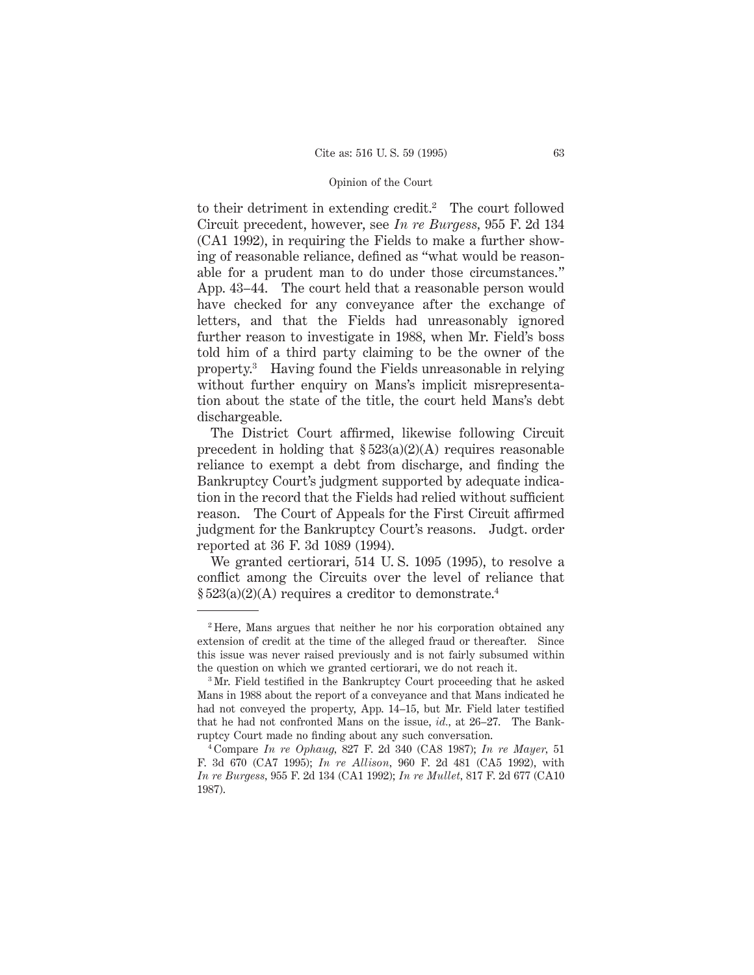to their detriment in extending credit.2 The court followed Circuit precedent, however, see *In re Burgess,* 955 F. 2d 134 (CA1 1992), in requiring the Fields to make a further showing of reasonable reliance, defined as "what would be reasonable for a prudent man to do under those circumstances." App. 43–44. The court held that a reasonable person would have checked for any conveyance after the exchange of letters, and that the Fields had unreasonably ignored further reason to investigate in 1988, when Mr. Field's boss told him of a third party claiming to be the owner of the property.3 Having found the Fields unreasonable in relying without further enquiry on Mans's implicit misrepresentation about the state of the title, the court held Mans's debt dischargeable.

The District Court affirmed, likewise following Circuit precedent in holding that  $\S 523(a)(2)(A)$  requires reasonable reliance to exempt a debt from discharge, and finding the Bankruptcy Court's judgment supported by adequate indication in the record that the Fields had relied without sufficient reason. The Court of Appeals for the First Circuit affirmed judgment for the Bankruptcy Court's reasons. Judgt. order reported at 36 F. 3d 1089 (1994).

We granted certiorari, 514 U. S. 1095 (1995), to resolve a conflict among the Circuits over the level of reliance that  $$523(a)(2)(A)$  requires a creditor to demonstrate.<sup>4</sup>

<sup>2</sup> Here, Mans argues that neither he nor his corporation obtained any extension of credit at the time of the alleged fraud or thereafter. Since this issue was never raised previously and is not fairly subsumed within the question on which we granted certiorari, we do not reach it.

<sup>&</sup>lt;sup>3</sup> Mr. Field testified in the Bankruptcy Court proceeding that he asked Mans in 1988 about the report of a conveyance and that Mans indicated he had not conveyed the property, App. 14–15, but Mr. Field later testified that he had not confronted Mans on the issue, *id.,* at 26–27. The Bankruptcy Court made no finding about any such conversation.

<sup>4</sup> Compare *In re Ophaug,* 827 F. 2d 340 (CA8 1987); *In re Mayer,* 51 F. 3d 670 (CA7 1995); *In re Allison,* 960 F. 2d 481 (CA5 1992), with *In re Burgess,* 955 F. 2d 134 (CA1 1992); *In re Mullet,* 817 F. 2d 677 (CA10 1987).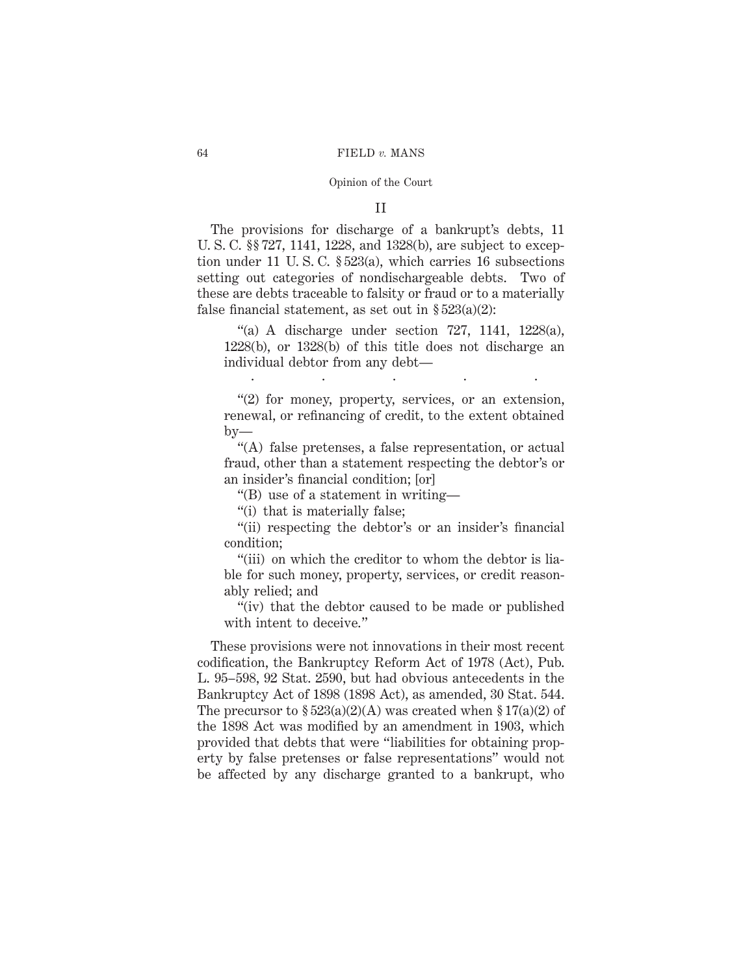## II

The provisions for discharge of a bankrupt's debts, 11 U. S. C. §§ 727, 1141, 1228, and 1328(b), are subject to exception under 11 U. S. C. § 523(a), which carries 16 subsections setting out categories of nondischargeable debts. Two of these are debts traceable to falsity or fraud or to a materially false financial statement, as set out in  $\S 523(a)(2)$ :

"(a) A discharge under section 727, 1141, 1228(a), 1228(b), or 1328(b) of this title does not discharge an individual debtor from any debt— .....

"(2) for money, property, services, or an extension, renewal, or refinancing of credit, to the extent obtained  $by-$ 

"(A) false pretenses, a false representation, or actual fraud, other than a statement respecting the debtor's or an insider's financial condition; [or]

"(B) use of a statement in writing—

"(i) that is materially false;

"(ii) respecting the debtor's or an insider's financial condition;

"(iii) on which the creditor to whom the debtor is liable for such money, property, services, or credit reasonably relied; and

"(iv) that the debtor caused to be made or published with intent to deceive."

These provisions were not innovations in their most recent codification, the Bankruptcy Reform Act of 1978 (Act), Pub. L. 95–598, 92 Stat. 2590, but had obvious antecedents in the Bankruptcy Act of 1898 (1898 Act), as amended, 30 Stat. 544. The precursor to  $\S 523(a)(2)(A)$  was created when  $\S 17(a)(2)$  of the 1898 Act was modified by an amendment in 1903, which provided that debts that were "liabilities for obtaining property by false pretenses or false representations" would not be affected by any discharge granted to a bankrupt, who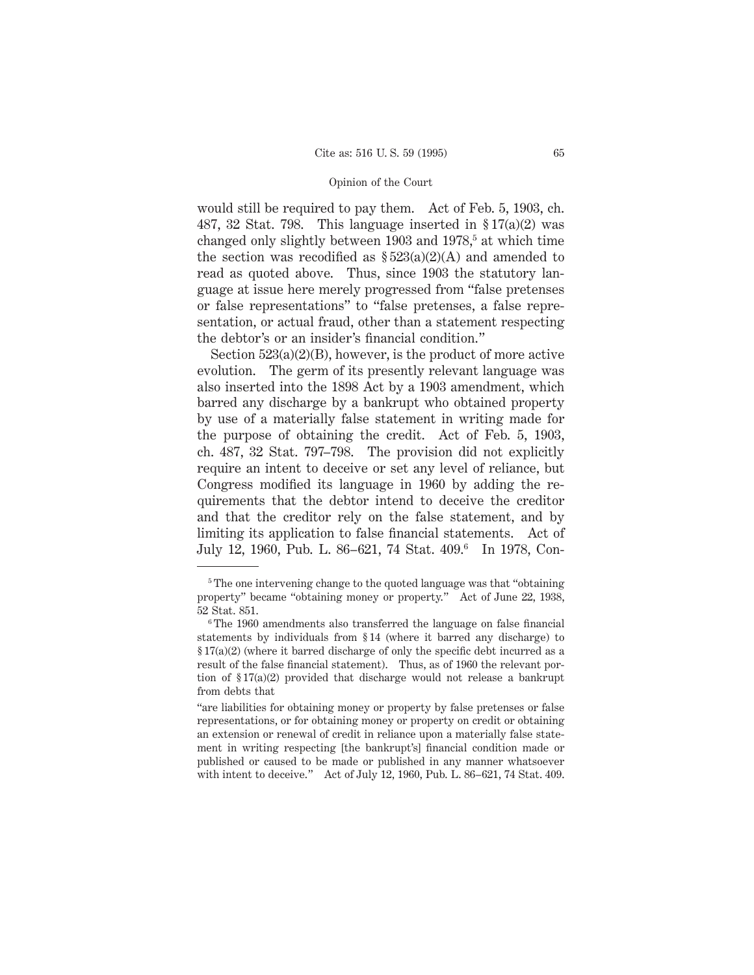would still be required to pay them. Act of Feb. 5, 1903, ch. 487, 32 Stat. 798. This language inserted in § 17(a)(2) was changed only slightly between  $1903$  and  $1978$ <sup>5</sup> at which time the section was recodified as  $\S 523(a)(2)(A)$  and amended to read as quoted above. Thus, since 1903 the statutory language at issue here merely progressed from "false pretenses or false representations" to "false pretenses, a false representation, or actual fraud, other than a statement respecting the debtor's or an insider's financial condition."

Section 523(a)(2)(B), however, is the product of more active evolution. The germ of its presently relevant language was also inserted into the 1898 Act by a 1903 amendment, which barred any discharge by a bankrupt who obtained property by use of a materially false statement in writing made for the purpose of obtaining the credit. Act of Feb. 5, 1903, ch. 487, 32 Stat. 797–798. The provision did not explicitly require an intent to deceive or set any level of reliance, but Congress modified its language in 1960 by adding the requirements that the debtor intend to deceive the creditor and that the creditor rely on the false statement, and by limiting its application to false financial statements. Act of July 12, 1960, Pub. L. 86–621, 74 Stat. 409.6 In 1978, Con-

<sup>&</sup>lt;sup>5</sup> The one intervening change to the quoted language was that "obtaining" property" became "obtaining money or property." Act of June 22, 1938, 52 Stat. 851.

<sup>6</sup> The 1960 amendments also transferred the language on false financial statements by individuals from § 14 (where it barred any discharge) to § 17(a)(2) (where it barred discharge of only the specific debt incurred as a result of the false financial statement). Thus, as of 1960 the relevant portion of § 17(a)(2) provided that discharge would not release a bankrupt from debts that

<sup>&</sup>quot;are liabilities for obtaining money or property by false pretenses or false representations, or for obtaining money or property on credit or obtaining an extension or renewal of credit in reliance upon a materially false statement in writing respecting [the bankrupt's] financial condition made or published or caused to be made or published in any manner whatsoever with intent to deceive." Act of July 12, 1960, Pub. L. 86–621, 74 Stat. 409.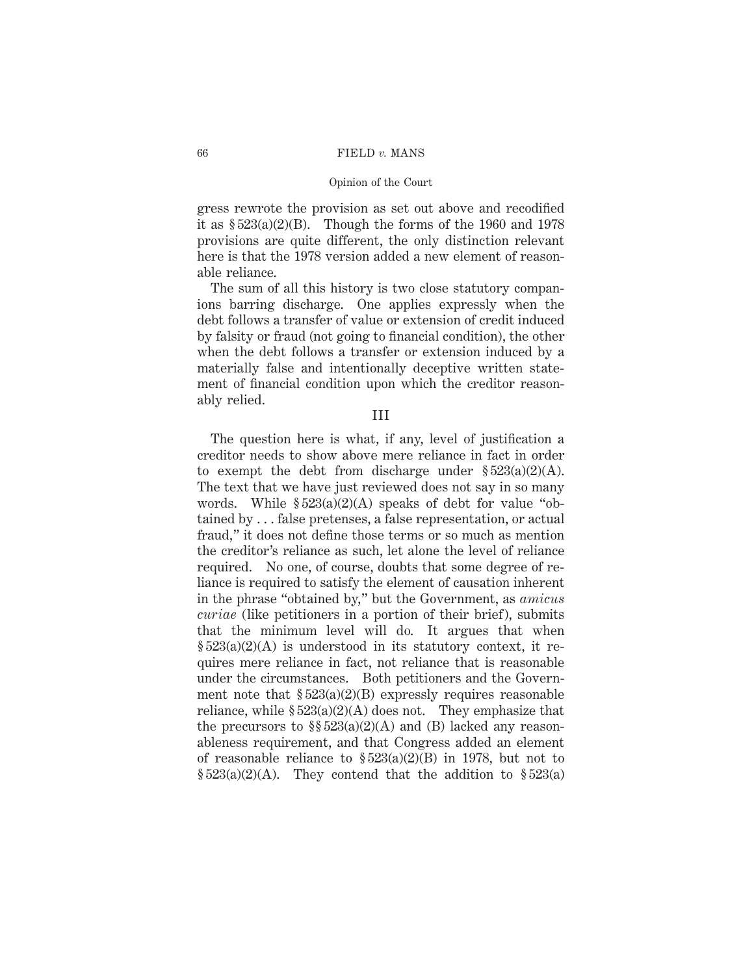#### Opinion of the Court

gress rewrote the provision as set out above and recodified it as  $$523(a)(2)(B)$ . Though the forms of the 1960 and 1978 provisions are quite different, the only distinction relevant here is that the 1978 version added a new element of reasonable reliance.

The sum of all this history is two close statutory companions barring discharge. One applies expressly when the debt follows a transfer of value or extension of credit induced by falsity or fraud (not going to financial condition), the other when the debt follows a transfer or extension induced by a materially false and intentionally deceptive written statement of financial condition upon which the creditor reasonably relied.

### III

The question here is what, if any, level of justification a creditor needs to show above mere reliance in fact in order to exempt the debt from discharge under  $\S 523(a)(2)(A)$ . The text that we have just reviewed does not say in so many words. While  $\S 523(a)(2)(A)$  speaks of debt for value "obtained by . . . false pretenses, a false representation, or actual fraud," it does not define those terms or so much as mention the creditor's reliance as such, let alone the level of reliance required. No one, of course, doubts that some degree of reliance is required to satisfy the element of causation inherent in the phrase "obtained by," but the Government, as *amicus curiae* (like petitioners in a portion of their brief), submits that the minimum level will do. It argues that when  $\S 523(a)(2)(A)$  is understood in its statutory context, it requires mere reliance in fact, not reliance that is reasonable under the circumstances. Both petitioners and the Government note that  $$523(a)(2)(B)$  expressly requires reasonable reliance, while  $\S 523(a)(2)(A)$  does not. They emphasize that the precursors to  $\S$ §  $523(a)(2)(A)$  and (B) lacked any reasonableness requirement, and that Congress added an element of reasonable reliance to  $\S 523(a)(2)(B)$  in 1978, but not to  $\S 523(a)(2)(A)$ . They contend that the addition to  $\S 523(a)$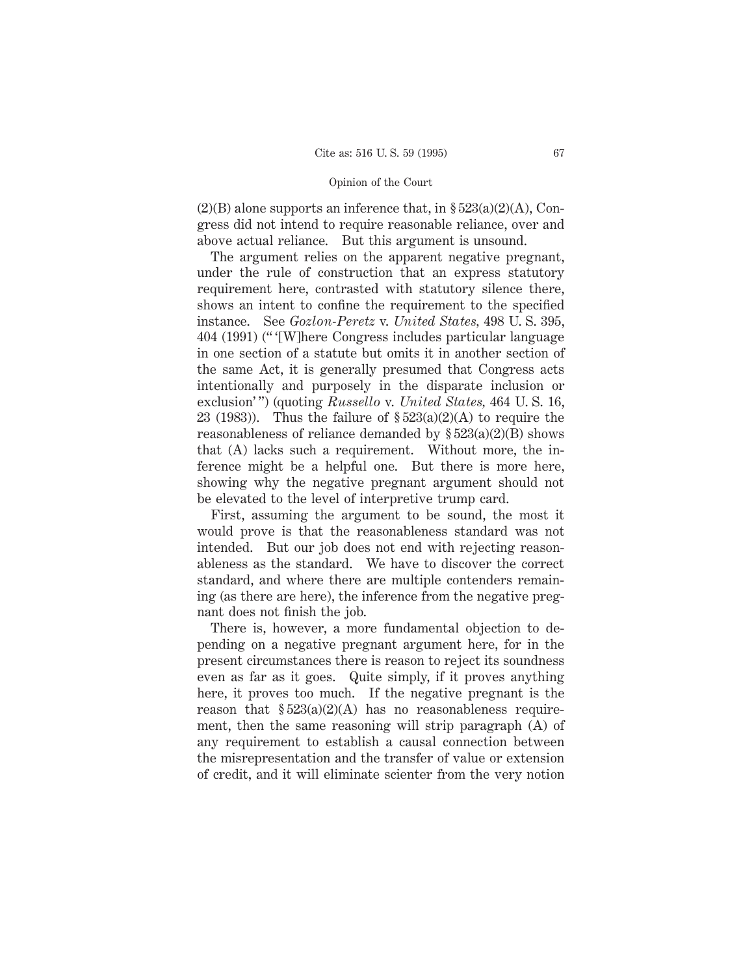$(2)(B)$  alone supports an inference that, in §523(a)(2)(A), Congress did not intend to require reasonable reliance, over and above actual reliance. But this argument is unsound.

The argument relies on the apparent negative pregnant, under the rule of construction that an express statutory requirement here, contrasted with statutory silence there, shows an intent to confine the requirement to the specified instance. See *Gozlon-Peretz* v. *United States,* 498 U. S. 395, 404 (1991) (" '[W]here Congress includes particular language in one section of a statute but omits it in another section of the same Act, it is generally presumed that Congress acts intentionally and purposely in the disparate inclusion or exclusion' ") (quoting *Russello* v. *United States,* 464 U. S. 16, 23 (1983)). Thus the failure of  $\S 523(a)(2)(A)$  to require the reasonableness of reliance demanded by  $\S 523(a)(2)(B)$  shows that (A) lacks such a requirement. Without more, the inference might be a helpful one. But there is more here, showing why the negative pregnant argument should not be elevated to the level of interpretive trump card.

First, assuming the argument to be sound, the most it would prove is that the reasonableness standard was not intended. But our job does not end with rejecting reasonableness as the standard. We have to discover the correct standard, and where there are multiple contenders remaining (as there are here), the inference from the negative pregnant does not finish the job.

There is, however, a more fundamental objection to depending on a negative pregnant argument here, for in the present circumstances there is reason to reject its soundness even as far as it goes. Quite simply, if it proves anything here, it proves too much. If the negative pregnant is the reason that  $$523(a)(2)(A)$  has no reasonableness requirement, then the same reasoning will strip paragraph (A) of any requirement to establish a causal connection between the misrepresentation and the transfer of value or extension of credit, and it will eliminate scienter from the very notion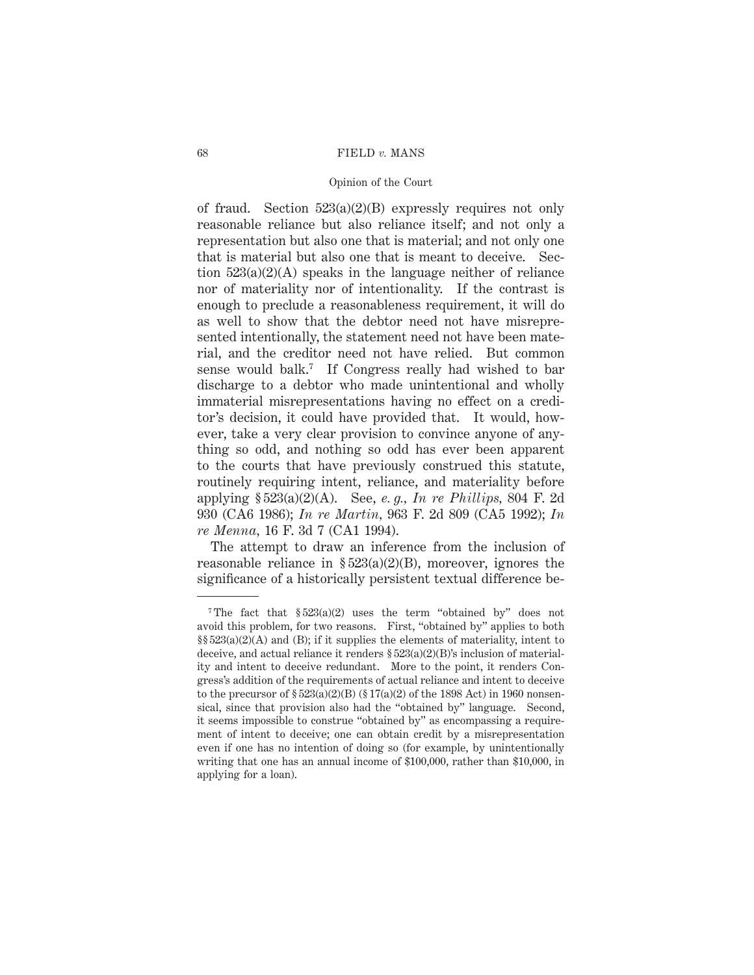### Opinion of the Court

of fraud. Section 523(a)(2)(B) expressly requires not only reasonable reliance but also reliance itself; and not only a representation but also one that is material; and not only one that is material but also one that is meant to deceive. Section  $523(a)(2)(A)$  speaks in the language neither of reliance nor of materiality nor of intentionality. If the contrast is enough to preclude a reasonableness requirement, it will do as well to show that the debtor need not have misrepresented intentionally, the statement need not have been material, and the creditor need not have relied. But common sense would balk.<sup>7</sup> If Congress really had wished to bar discharge to a debtor who made unintentional and wholly immaterial misrepresentations having no effect on a creditor's decision, it could have provided that. It would, however, take a very clear provision to convince anyone of anything so odd, and nothing so odd has ever been apparent to the courts that have previously construed this statute, routinely requiring intent, reliance, and materiality before applying § 523(a)(2)(A). See, *e. g., In re Phillips,* 804 F. 2d 930 (CA6 1986); *In re Martin,* 963 F. 2d 809 (CA5 1992); *In re Menna,* 16 F. 3d 7 (CA1 1994).

The attempt to draw an inference from the inclusion of reasonable reliance in  $\S 523(a)(2)(B)$ , moreover, ignores the significance of a historically persistent textual difference be-

<sup>&</sup>lt;sup>7</sup>The fact that  $\S 523(a)(2)$  uses the term "obtained by" does not avoid this problem, for two reasons. First, "obtained by" applies to both  $\S$ § $523(a)(2)(A)$  and (B); if it supplies the elements of materiality, intent to deceive, and actual reliance it renders  $\S 523(a)(2)(B)$ 's inclusion of materiality and intent to deceive redundant. More to the point, it renders Congress's addition of the requirements of actual reliance and intent to deceive to the precursor of  $\S 523(a)(2)(B)$  ( $\S 17(a)(2)$  of the 1898 Act) in 1960 nonsensical, since that provision also had the "obtained by" language. Second, it seems impossible to construe "obtained by" as encompassing a requirement of intent to deceive; one can obtain credit by a misrepresentation even if one has no intention of doing so (for example, by unintentionally writing that one has an annual income of \$100,000, rather than \$10,000, in applying for a loan).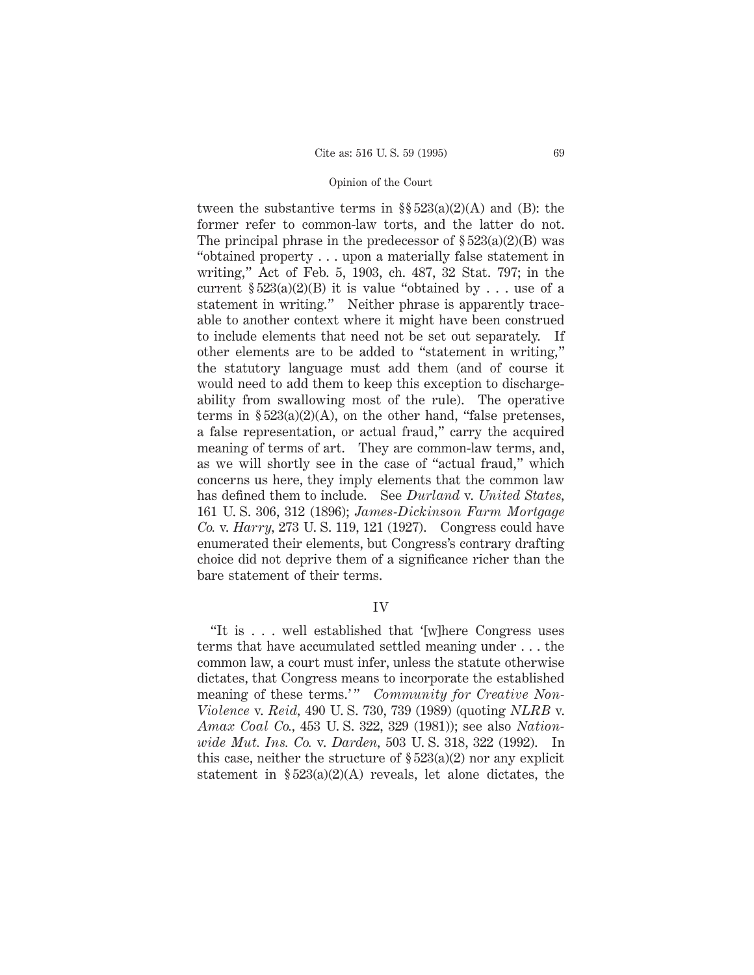tween the substantive terms in  $\S$ § 523(a)(2)(A) and (B): the former refer to common-law torts, and the latter do not. The principal phrase in the predecessor of  $\S 523(a)(2)(B)$  was "obtained property . . . upon a materially false statement in writing," Act of Feb. 5, 1903, ch. 487, 32 Stat. 797; in the current  $\S 523(a)(2)(B)$  it is value "obtained by ... use of a statement in writing." Neither phrase is apparently traceable to another context where it might have been construed to include elements that need not be set out separately. If other elements are to be added to "statement in writing," the statutory language must add them (and of course it would need to add them to keep this exception to dischargeability from swallowing most of the rule). The operative terms in  $\S 523(a)(2)(A)$ , on the other hand, "false pretenses, a false representation, or actual fraud," carry the acquired meaning of terms of art. They are common-law terms, and, as we will shortly see in the case of "actual fraud," which concerns us here, they imply elements that the common law has defined them to include. See *Durland* v. *United States,* 161 U. S. 306, 312 (1896); *James-Dickinson Farm Mortgage Co.* v. *Harry,* 273 U. S. 119, 121 (1927). Congress could have enumerated their elements, but Congress's contrary drafting choice did not deprive them of a significance richer than the bare statement of their terms.

## IV

"It is . . . well established that '[w]here Congress uses terms that have accumulated settled meaning under . . . the common law, a court must infer, unless the statute otherwise dictates, that Congress means to incorporate the established meaning of these terms.'" Community for Creative Non-*Violence* v. *Reid,* 490 U. S. 730, 739 (1989) (quoting *NLRB* v. *Amax Coal Co.,* 453 U. S. 322, 329 (1981)); see also *Nationwide Mut. Ins. Co.* v. *Darden,* 503 U. S. 318, 322 (1992). In this case, neither the structure of  $\S 523(a)(2)$  nor any explicit statement in  $$523(a)(2)(A)$  reveals, let alone dictates, the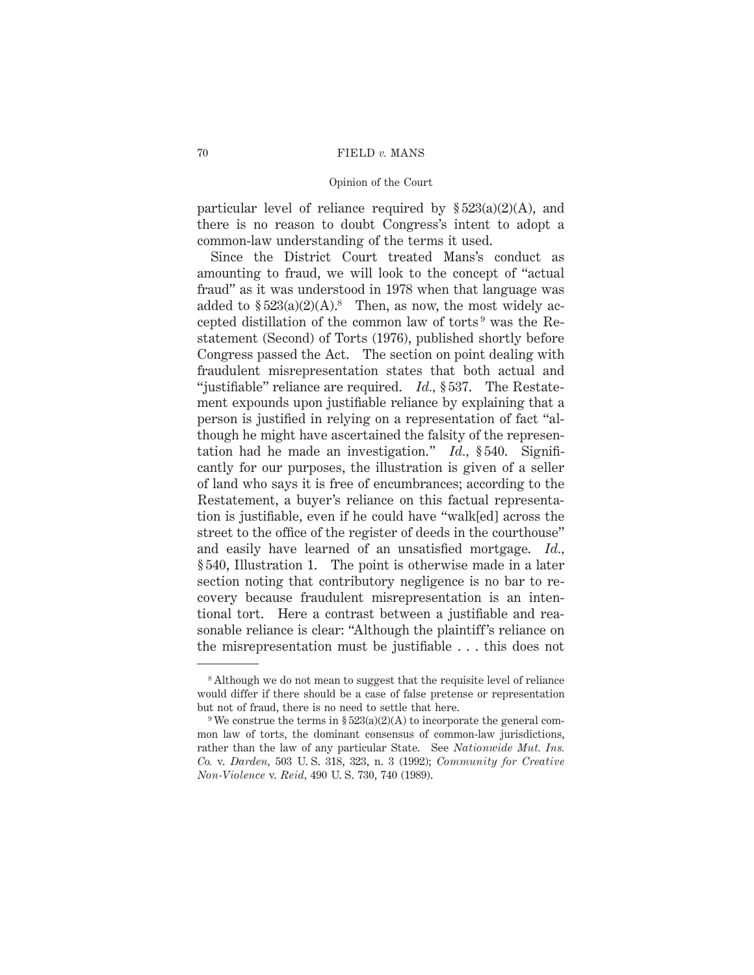# Opinion of the Court

particular level of reliance required by  $\S 523(a)(2)(A)$ , and there is no reason to doubt Congress's intent to adopt a common-law understanding of the terms it used.

Since the District Court treated Mans's conduct as amounting to fraud, we will look to the concept of "actual fraud" as it was understood in 1978 when that language was added to  $$523(a)(2)(A).$ <sup>8</sup> Then, as now, the most widely accepted distillation of the common law of torts <sup>9</sup> was the Restatement (Second) of Torts (1976), published shortly before Congress passed the Act. The section on point dealing with fraudulent misrepresentation states that both actual and "justifiable" reliance are required. *Id.,* § 537. The Restatement expounds upon justifiable reliance by explaining that a person is justified in relying on a representation of fact "although he might have ascertained the falsity of the representation had he made an investigation." *Id.,* § 540. Significantly for our purposes, the illustration is given of a seller of land who says it is free of encumbrances; according to the Restatement, a buyer's reliance on this factual representation is justifiable, even if he could have "walk[ed] across the street to the office of the register of deeds in the courthouse" and easily have learned of an unsatisfied mortgage. *Id.,* § 540, Illustration 1. The point is otherwise made in a later section noting that contributory negligence is no bar to recovery because fraudulent misrepresentation is an intentional tort. Here a contrast between a justifiable and reasonable reliance is clear: "Although the plaintiff's reliance on the misrepresentation must be justifiable . . . this does not

<sup>&</sup>lt;sup>8</sup> Although we do not mean to suggest that the requisite level of reliance would differ if there should be a case of false pretense or representation but not of fraud, there is no need to settle that here.

<sup>&</sup>lt;sup>9</sup> We construe the terms in  $\S 523(a)(2)(A)$  to incorporate the general common law of torts, the dominant consensus of common-law jurisdictions, rather than the law of any particular State. See *Nationwide Mut. Ins. Co.* v. *Darden,* 503 U. S. 318, 323, n. 3 (1992); *Community for Creative Non-Violence* v. *Reid,* 490 U. S. 730, 740 (1989).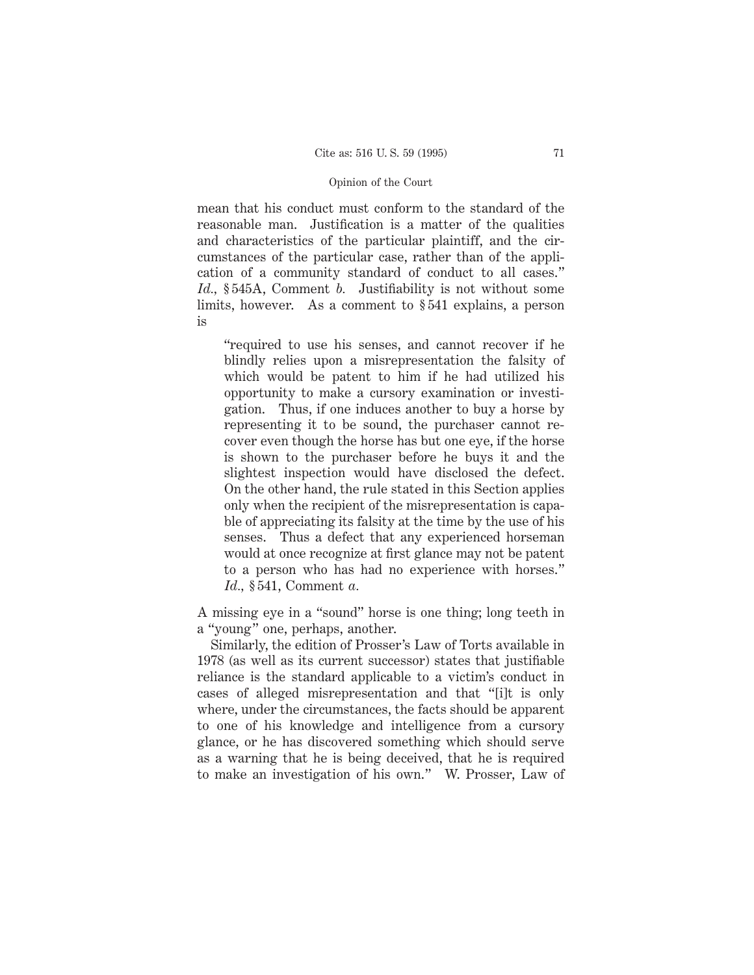mean that his conduct must conform to the standard of the reasonable man. Justification is a matter of the qualities and characteristics of the particular plaintiff, and the circumstances of the particular case, rather than of the application of a community standard of conduct to all cases." *Id.,* § 545A, Comment *b.* Justifiability is not without some limits, however. As a comment to § 541 explains, a person is

"required to use his senses, and cannot recover if he blindly relies upon a misrepresentation the falsity of which would be patent to him if he had utilized his opportunity to make a cursory examination or investigation. Thus, if one induces another to buy a horse by representing it to be sound, the purchaser cannot recover even though the horse has but one eye, if the horse is shown to the purchaser before he buys it and the slightest inspection would have disclosed the defect. On the other hand, the rule stated in this Section applies only when the recipient of the misrepresentation is capable of appreciating its falsity at the time by the use of his senses. Thus a defect that any experienced horseman would at once recognize at first glance may not be patent to a person who has had no experience with horses." *Id.,* § 541, Comment *a.*

A missing eye in a "sound" horse is one thing; long teeth in a "young" one, perhaps, another.

Similarly, the edition of Prosser's Law of Torts available in 1978 (as well as its current successor) states that justifiable reliance is the standard applicable to a victim's conduct in cases of alleged misrepresentation and that "[i]t is only where, under the circumstances, the facts should be apparent to one of his knowledge and intelligence from a cursory glance, or he has discovered something which should serve as a warning that he is being deceived, that he is required to make an investigation of his own." W. Prosser, Law of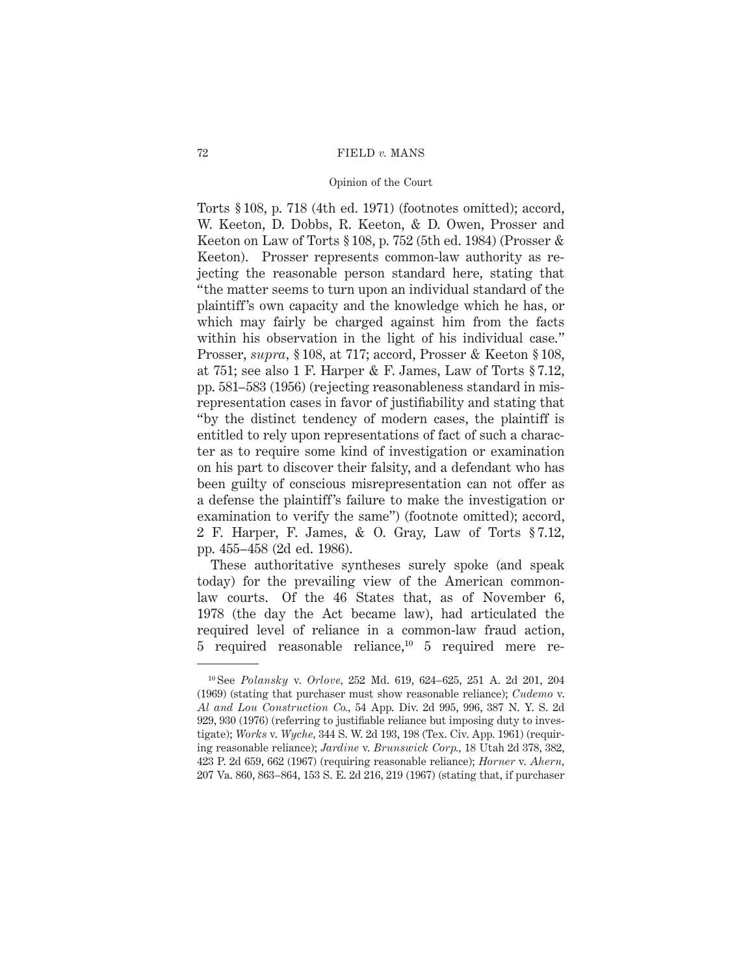### Opinion of the Court

Torts § 108, p. 718 (4th ed. 1971) (footnotes omitted); accord, W. Keeton, D. Dobbs, R. Keeton, & D. Owen, Prosser and Keeton on Law of Torts § 108, p. 752 (5th ed. 1984) (Prosser & Keeton). Prosser represents common-law authority as rejecting the reasonable person standard here, stating that "the matter seems to turn upon an individual standard of the plaintiff's own capacity and the knowledge which he has, or which may fairly be charged against him from the facts within his observation in the light of his individual case." Prosser, *supra,* § 108, at 717; accord, Prosser & Keeton § 108, at 751; see also 1 F. Harper & F. James, Law of Torts § 7.12, pp. 581–583 (1956) (rejecting reasonableness standard in misrepresentation cases in favor of justifiability and stating that "by the distinct tendency of modern cases, the plaintiff is entitled to rely upon representations of fact of such a character as to require some kind of investigation or examination on his part to discover their falsity, and a defendant who has been guilty of conscious misrepresentation can not offer as a defense the plaintiff's failure to make the investigation or examination to verify the same") (footnote omitted); accord, 2 F. Harper, F. James, & O. Gray, Law of Torts § 7.12, pp. 455–458 (2d ed. 1986).

These authoritative syntheses surely spoke (and speak today) for the prevailing view of the American commonlaw courts. Of the 46 States that, as of November 6, 1978 (the day the Act became law), had articulated the required level of reliance in a common-law fraud action, 5 required reasonable reliance,10 5 required mere re-

<sup>10</sup> See *Polansky* v. *Orlove,* 252 Md. 619, 624–625, 251 A. 2d 201, 204 (1969) (stating that purchaser must show reasonable reliance); *Cudemo* v. *Al and Lou Construction Co.,* 54 App. Div. 2d 995, 996, 387 N. Y. S. 2d 929, 930 (1976) (referring to justifiable reliance but imposing duty to investigate); *Works* v. *Wyche,* 344 S. W. 2d 193, 198 (Tex. Civ. App. 1961) (requiring reasonable reliance); *Jardine* v. *Brunswick Corp.,* 18 Utah 2d 378, 382, 423 P. 2d 659, 662 (1967) (requiring reasonable reliance); *Horner* v. *Ahern,* 207 Va. 860, 863–864, 153 S. E. 2d 216, 219 (1967) (stating that, if purchaser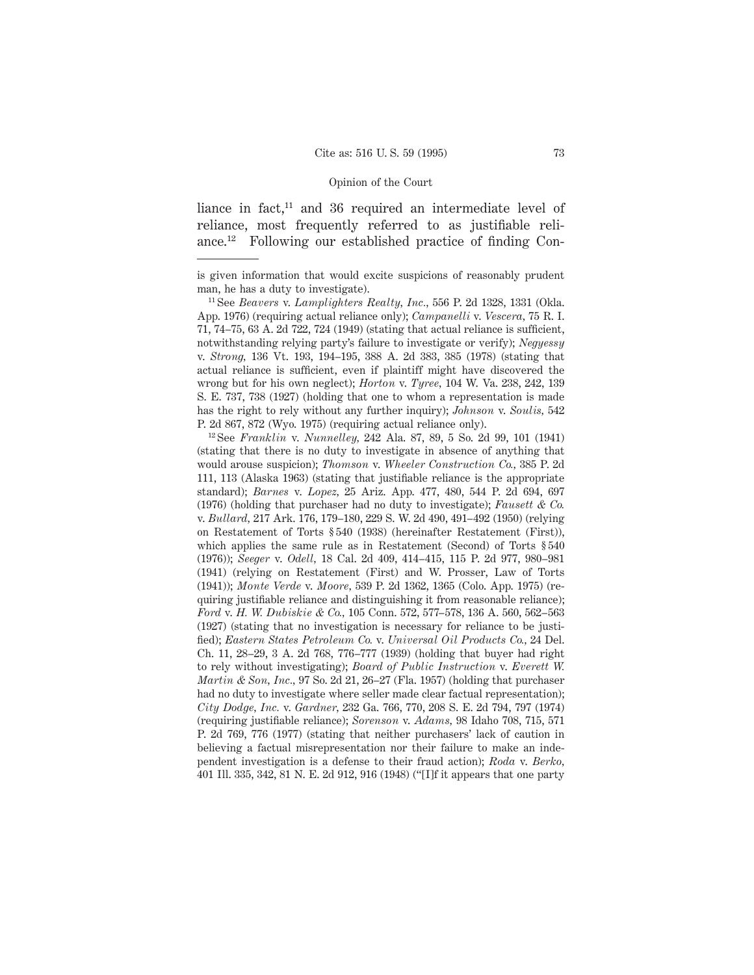liance in fact, $11$  and 36 required an intermediate level of reliance, most frequently referred to as justifiable reliance.12 Following our established practice of finding Con-

is given information that would excite suspicions of reasonably prudent man, he has a duty to investigate).

<sup>11</sup> See *Beavers* v. *Lamplighters Realty, Inc.,* 556 P. 2d 1328, 1331 (Okla. App. 1976) (requiring actual reliance only); *Campanelli* v. *Vescera,* 75 R. I. 71, 74–75, 63 A. 2d 722, 724 (1949) (stating that actual reliance is sufficient, notwithstanding relying party's failure to investigate or verify); *Negyessy* v. *Strong,* 136 Vt. 193, 194–195, 388 A. 2d 383, 385 (1978) (stating that actual reliance is sufficient, even if plaintiff might have discovered the wrong but for his own neglect); *Horton* v. *Tyree,* 104 W. Va. 238, 242, 139 S. E. 737, 738 (1927) (holding that one to whom a representation is made has the right to rely without any further inquiry); *Johnson* v. *Soulis,* 542 P. 2d 867, 872 (Wyo. 1975) (requiring actual reliance only).

<sup>12</sup> See *Franklin* v. *Nunnelley,* 242 Ala. 87, 89, 5 So. 2d 99, 101 (1941) (stating that there is no duty to investigate in absence of anything that would arouse suspicion); *Thomson* v. *Wheeler Construction Co.,* 385 P. 2d 111, 113 (Alaska 1963) (stating that justifiable reliance is the appropriate standard); *Barnes* v. *Lopez,* 25 Ariz. App. 477, 480, 544 P. 2d 694, 697 (1976) (holding that purchaser had no duty to investigate); *Fausett & Co.* v. *Bullard,* 217 Ark. 176, 179–180, 229 S. W. 2d 490, 491–492 (1950) (relying on Restatement of Torts § 540 (1938) (hereinafter Restatement (First)), which applies the same rule as in Restatement (Second) of Torts § 540 (1976)); *Seeger* v. *Odell,* 18 Cal. 2d 409, 414–415, 115 P. 2d 977, 980–981 (1941) (relying on Restatement (First) and W. Prosser, Law of Torts (1941)); *Monte Verde* v. *Moore,* 539 P. 2d 1362, 1365 (Colo. App. 1975) (requiring justifiable reliance and distinguishing it from reasonable reliance); *Ford* v. *H. W. Dubiskie & Co.,* 105 Conn. 572, 577–578, 136 A. 560, 562–563 (1927) (stating that no investigation is necessary for reliance to be justified); *Eastern States Petroleum Co.* v. *Universal Oil Products Co.,* 24 Del. Ch. 11, 28–29, 3 A. 2d 768, 776–777 (1939) (holding that buyer had right to rely without investigating); *Board of Public Instruction* v. *Everett W. Martin & Son, Inc.,* 97 So. 2d 21, 26–27 (Fla. 1957) (holding that purchaser had no duty to investigate where seller made clear factual representation); *City Dodge, Inc.* v. *Gardner,* 232 Ga. 766, 770, 208 S. E. 2d 794, 797 (1974) (requiring justifiable reliance); *Sorenson* v. *Adams,* 98 Idaho 708, 715, 571 P. 2d 769, 776 (1977) (stating that neither purchasers' lack of caution in believing a factual misrepresentation nor their failure to make an independent investigation is a defense to their fraud action); *Roda* v. *Berko,* 401 Ill. 335, 342, 81 N. E. 2d 912, 916 (1948) ("[I]f it appears that one party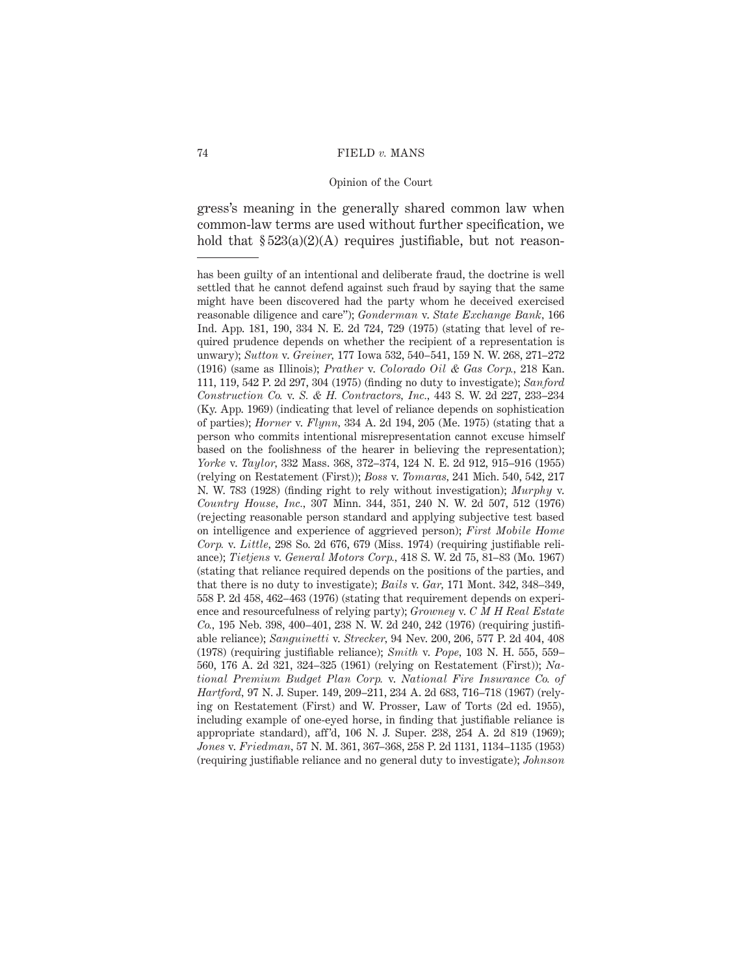#### Opinion of the Court

gress's meaning in the generally shared common law when common-law terms are used without further specification, we hold that  $\S 523(a)(2)(A)$  requires justifiable, but not reason-

has been guilty of an intentional and deliberate fraud, the doctrine is well settled that he cannot defend against such fraud by saying that the same might have been discovered had the party whom he deceived exercised reasonable diligence and care"); *Gonderman* v. *State Exchange Bank,* 166 Ind. App. 181, 190, 334 N. E. 2d 724, 729 (1975) (stating that level of required prudence depends on whether the recipient of a representation is unwary); *Sutton* v. *Greiner,* 177 Iowa 532, 540–541, 159 N. W. 268, 271–272 (1916) (same as Illinois); *Prather* v. *Colorado Oil & Gas Corp.,* 218 Kan. 111, 119, 542 P. 2d 297, 304 (1975) (finding no duty to investigate); *Sanford Construction Co.* v. *S. & H. Contractors, Inc.,* 443 S. W. 2d 227, 233–234 (Ky. App. 1969) (indicating that level of reliance depends on sophistication of parties); *Horner* v. *Flynn,* 334 A. 2d 194, 205 (Me. 1975) (stating that a person who commits intentional misrepresentation cannot excuse himself based on the foolishness of the hearer in believing the representation); *Yorke* v. *Taylor,* 332 Mass. 368, 372–374, 124 N. E. 2d 912, 915–916 (1955) (relying on Restatement (First)); *Boss* v. *Tomaras,* 241 Mich. 540, 542, 217 N. W. 783 (1928) (finding right to rely without investigation); *Murphy* v. *Country House, Inc.,* 307 Minn. 344, 351, 240 N. W. 2d 507, 512 (1976) (rejecting reasonable person standard and applying subjective test based on intelligence and experience of aggrieved person); *First Mobile Home Corp.* v. *Little,* 298 So. 2d 676, 679 (Miss. 1974) (requiring justifiable reliance); *Tietjens* v. *General Motors Corp.,* 418 S. W. 2d 75, 81–83 (Mo. 1967) (stating that reliance required depends on the positions of the parties, and that there is no duty to investigate); *Bails* v. *Gar,* 171 Mont. 342, 348–349, 558 P. 2d 458, 462–463 (1976) (stating that requirement depends on experience and resourcefulness of relying party); *Growney* v. *C M H Real Estate Co.,* 195 Neb. 398, 400–401, 238 N. W. 2d 240, 242 (1976) (requiring justifiable reliance); *Sanguinetti* v. *Strecker,* 94 Nev. 200, 206, 577 P. 2d 404, 408 (1978) (requiring justifiable reliance); *Smith* v. *Pope,* 103 N. H. 555, 559– 560, 176 A. 2d 321, 324–325 (1961) (relying on Restatement (First)); *National Premium Budget Plan Corp.* v. *National Fire Insurance Co. of Hartford,* 97 N. J. Super. 149, 209–211, 234 A. 2d 683, 716–718 (1967) (relying on Restatement (First) and W. Prosser, Law of Torts (2d ed. 1955), including example of one-eyed horse, in finding that justifiable reliance is appropriate standard), aff'd, 106 N. J. Super. 238, 254 A. 2d 819 (1969); *Jones* v. *Friedman,* 57 N. M. 361, 367–368, 258 P. 2d 1131, 1134–1135 (1953) (requiring justifiable reliance and no general duty to investigate); *Johnson*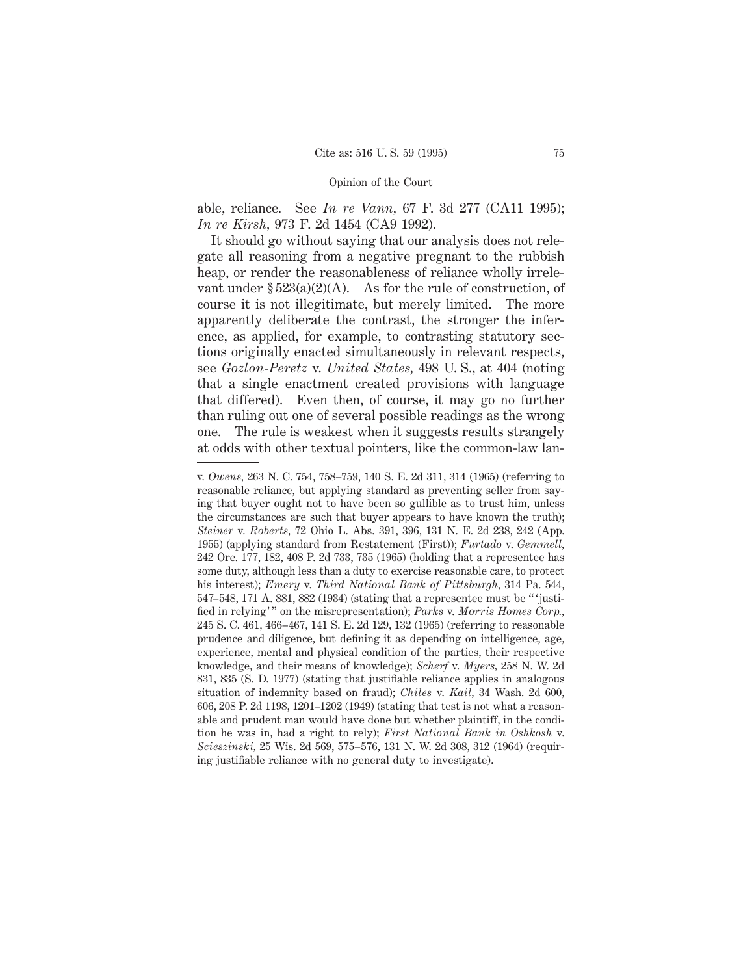able, reliance. See *In re Vann,* 67 F. 3d 277 (CA11 1995); *In re Kirsh,* 973 F. 2d 1454 (CA9 1992).

It should go without saying that our analysis does not relegate all reasoning from a negative pregnant to the rubbish heap, or render the reasonableness of reliance wholly irrelevant under  $\S 523(a)(2)(A)$ . As for the rule of construction, of course it is not illegitimate, but merely limited. The more apparently deliberate the contrast, the stronger the inference, as applied, for example, to contrasting statutory sections originally enacted simultaneously in relevant respects, see *Gozlon-Peretz* v. *United States,* 498 U. S., at 404 (noting that a single enactment created provisions with language that differed). Even then, of course, it may go no further than ruling out one of several possible readings as the wrong one. The rule is weakest when it suggests results strangely at odds with other textual pointers, like the common-law lan-

v. *Owens,* 263 N. C. 754, 758–759, 140 S. E. 2d 311, 314 (1965) (referring to reasonable reliance, but applying standard as preventing seller from saying that buyer ought not to have been so gullible as to trust him, unless the circumstances are such that buyer appears to have known the truth); *Steiner* v. *Roberts,* 72 Ohio L. Abs. 391, 396, 131 N. E. 2d 238, 242 (App. 1955) (applying standard from Restatement (First)); *Furtado* v. *Gemmell,* 242 Ore. 177, 182, 408 P. 2d 733, 735 (1965) (holding that a representee has some duty, although less than a duty to exercise reasonable care, to protect his interest); *Emery* v. *Third National Bank of Pittsburgh,* 314 Pa. 544, 547–548, 171 A. 881, 882 (1934) (stating that a representee must be " 'justified in relying' " on the misrepresentation); *Parks* v. *Morris Homes Corp.,* 245 S. C. 461, 466–467, 141 S. E. 2d 129, 132 (1965) (referring to reasonable prudence and diligence, but defining it as depending on intelligence, age, experience, mental and physical condition of the parties, their respective knowledge, and their means of knowledge); *Scherf* v. *Myers,* 258 N. W. 2d 831, 835 (S. D. 1977) (stating that justifiable reliance applies in analogous situation of indemnity based on fraud); *Chiles* v. *Kail,* 34 Wash. 2d 600, 606, 208 P. 2d 1198, 1201–1202 (1949) (stating that test is not what a reasonable and prudent man would have done but whether plaintiff, in the condition he was in, had a right to rely); *First National Bank in Oshkosh* v. *Scieszinski,* 25 Wis. 2d 569, 575–576, 131 N. W. 2d 308, 312 (1964) (requiring justifiable reliance with no general duty to investigate).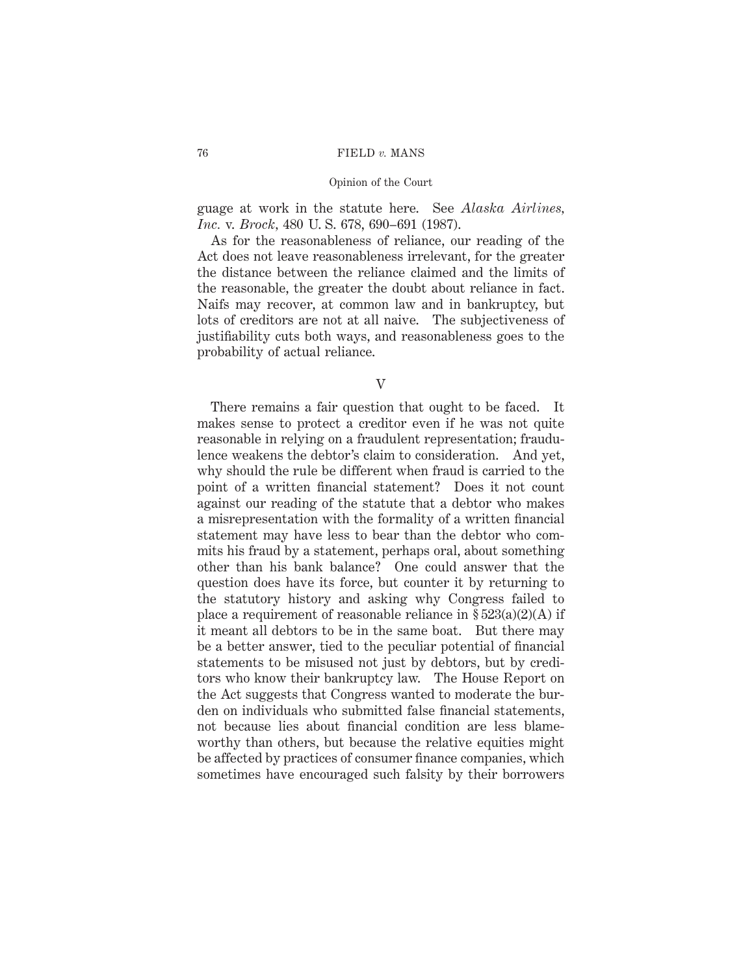#### Opinion of the Court

guage at work in the statute here. See *Alaska Airlines, Inc.* v. *Brock,* 480 U. S. 678, 690–691 (1987).

As for the reasonableness of reliance, our reading of the Act does not leave reasonableness irrelevant, for the greater the distance between the reliance claimed and the limits of the reasonable, the greater the doubt about reliance in fact. Naifs may recover, at common law and in bankruptcy, but lots of creditors are not at all naive. The subjectiveness of justifiability cuts both ways, and reasonableness goes to the probability of actual reliance.

V

There remains a fair question that ought to be faced. It makes sense to protect a creditor even if he was not quite reasonable in relying on a fraudulent representation; fraudulence weakens the debtor's claim to consideration. And yet, why should the rule be different when fraud is carried to the point of a written financial statement? Does it not count against our reading of the statute that a debtor who makes a misrepresentation with the formality of a written financial statement may have less to bear than the debtor who commits his fraud by a statement, perhaps oral, about something other than his bank balance? One could answer that the question does have its force, but counter it by returning to the statutory history and asking why Congress failed to place a requirement of reasonable reliance in  $\S 523(a)(2)(A)$  if it meant all debtors to be in the same boat. But there may be a better answer, tied to the peculiar potential of financial statements to be misused not just by debtors, but by creditors who know their bankruptcy law. The House Report on the Act suggests that Congress wanted to moderate the burden on individuals who submitted false financial statements, not because lies about financial condition are less blameworthy than others, but because the relative equities might be affected by practices of consumer finance companies, which sometimes have encouraged such falsity by their borrowers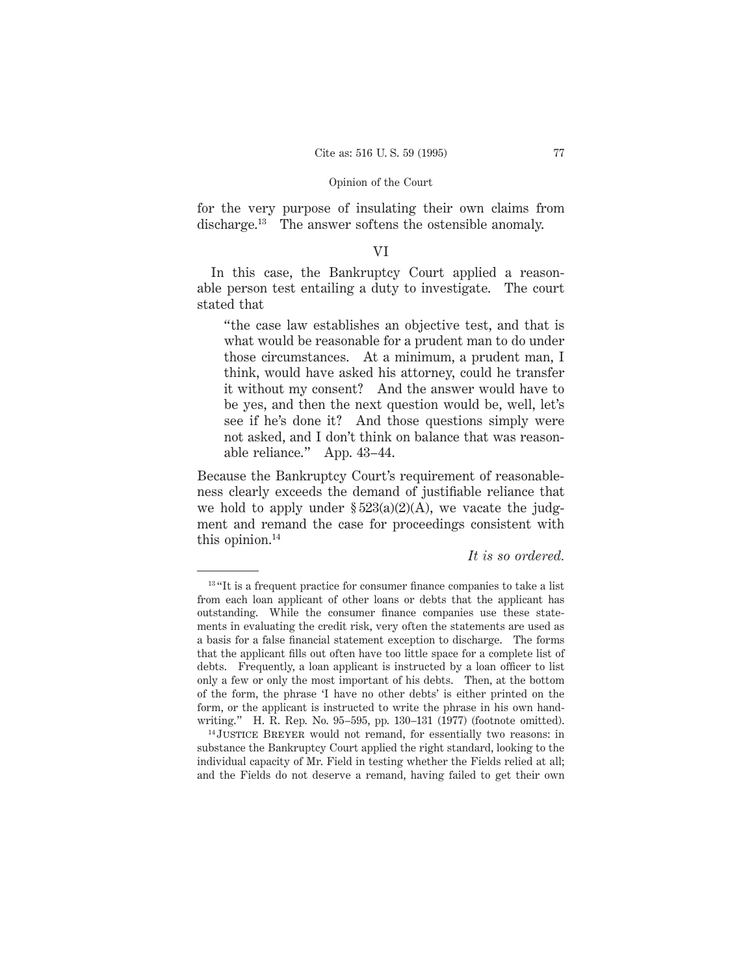for the very purpose of insulating their own claims from discharge.<sup>13</sup> The answer softens the ostensible anomaly.

## VI

In this case, the Bankruptcy Court applied a reasonable person test entailing a duty to investigate. The court stated that

"the case law establishes an objective test, and that is what would be reasonable for a prudent man to do under those circumstances. At a minimum, a prudent man, I think, would have asked his attorney, could he transfer it without my consent? And the answer would have to be yes, and then the next question would be, well, let's see if he's done it? And those questions simply were not asked, and I don't think on balance that was reasonable reliance." App. 43–44.

Because the Bankruptcy Court's requirement of reasonableness clearly exceeds the demand of justifiable reliance that we hold to apply under  $\S 523(a)(2)(A)$ , we vacate the judgment and remand the case for proceedings consistent with this opinion. $^{14}$ 

#### *It is so ordered.*

<sup>&</sup>lt;sup>13</sup> "It is a frequent practice for consumer finance companies to take a list from each loan applicant of other loans or debts that the applicant has outstanding. While the consumer finance companies use these statements in evaluating the credit risk, very often the statements are used as a basis for a false financial statement exception to discharge. The forms that the applicant fills out often have too little space for a complete list of debts. Frequently, a loan applicant is instructed by a loan officer to list only a few or only the most important of his debts. Then, at the bottom of the form, the phrase 'I have no other debts' is either printed on the form, or the applicant is instructed to write the phrase in his own handwriting." H. R. Rep. No. 95–595, pp. 130–131 (1977) (footnote omitted).

<sup>&</sup>lt;sup>14</sup> JUSTICE BREYER would not remand, for essentially two reasons: in substance the Bankruptcy Court applied the right standard, looking to the individual capacity of Mr. Field in testing whether the Fields relied at all; and the Fields do not deserve a remand, having failed to get their own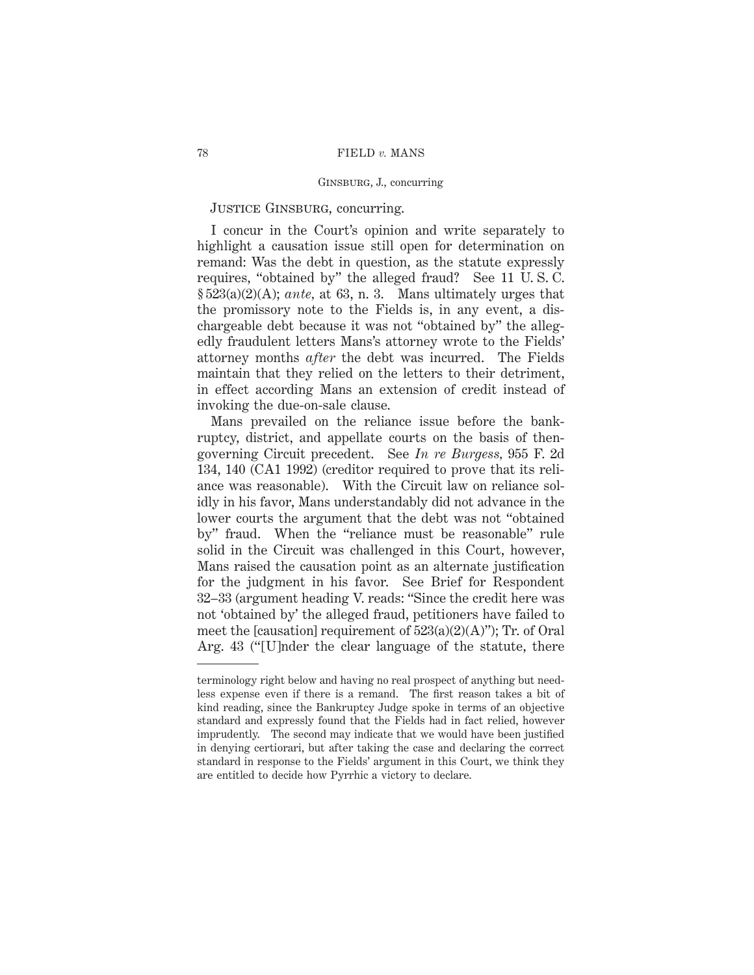# Ginsburg, J., concurring

# JUSTICE GINSBURG, concurring.

I concur in the Court's opinion and write separately to highlight a causation issue still open for determination on remand: Was the debt in question, as the statute expressly requires, "obtained by" the alleged fraud? See 11 U. S. C. § 523(a)(2)(A); *ante,* at 63, n. 3. Mans ultimately urges that the promissory note to the Fields is, in any event, a dischargeable debt because it was not "obtained by" the allegedly fraudulent letters Mans's attorney wrote to the Fields' attorney months *after* the debt was incurred. The Fields maintain that they relied on the letters to their detriment, in effect according Mans an extension of credit instead of invoking the due-on-sale clause.

Mans prevailed on the reliance issue before the bankruptcy, district, and appellate courts on the basis of thengoverning Circuit precedent. See *In re Burgess,* 955 F. 2d 134, 140 (CA1 1992) (creditor required to prove that its reliance was reasonable). With the Circuit law on reliance solidly in his favor, Mans understandably did not advance in the lower courts the argument that the debt was not "obtained by" fraud. When the "reliance must be reasonable" rule solid in the Circuit was challenged in this Court, however, Mans raised the causation point as an alternate justification for the judgment in his favor. See Brief for Respondent 32–33 (argument heading V. reads: "Since the credit here was not 'obtained by' the alleged fraud, petitioners have failed to meet the [causation] requirement of  $523(a)(2)(A)$ "); Tr. of Oral Arg. 43 ("[U]nder the clear language of the statute, there

terminology right below and having no real prospect of anything but needless expense even if there is a remand. The first reason takes a bit of kind reading, since the Bankruptcy Judge spoke in terms of an objective standard and expressly found that the Fields had in fact relied, however imprudently. The second may indicate that we would have been justified in denying certiorari, but after taking the case and declaring the correct standard in response to the Fields' argument in this Court, we think they are entitled to decide how Pyrrhic a victory to declare.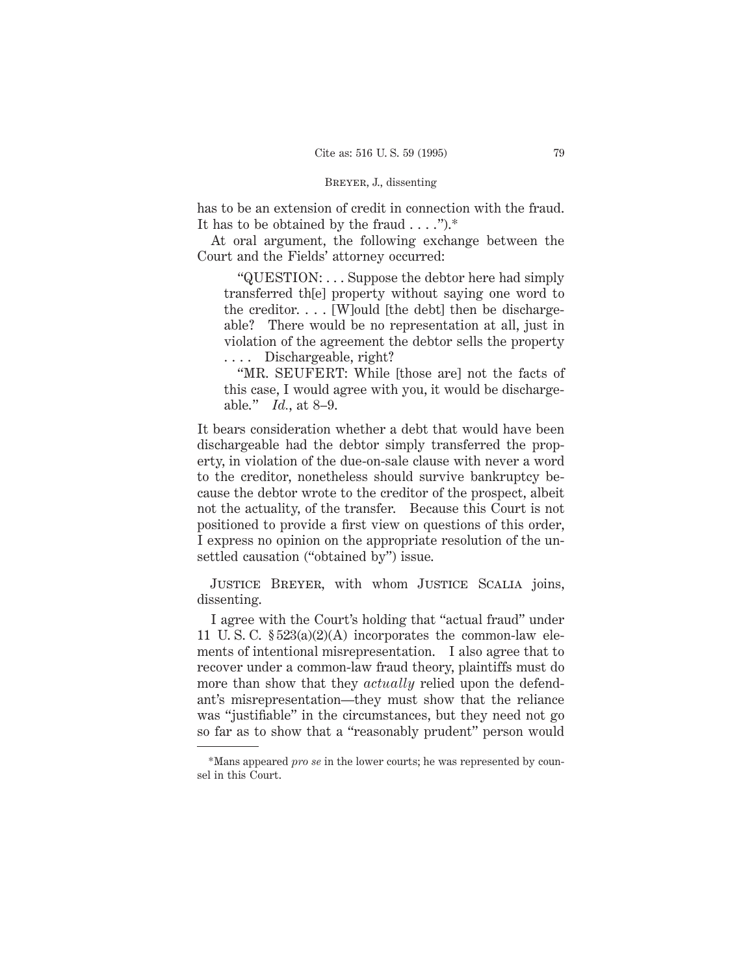has to be an extension of credit in connection with the fraud. It has to be obtained by the fraud....").\*

At oral argument, the following exchange between the Court and the Fields' attorney occurred:

"QUESTION:... Suppose the debtor here had simply transferred th[e] property without saying one word to the creditor.... [W] ould [the debt] then be dischargeable? There would be no representation at all, just in violation of the agreement the debtor sells the property .... Dischargeable, right?

"MR. SEUFERT: While [those are] not the facts of this case, I would agree with you, it would be dischargeable." *Id.*, at 8–9.

It bears consideration whether a debt that would have been dischargeable had the debtor simply transferred the property, in violation of the due-on-sale clause with never a word to the creditor, nonetheless should survive bankruptcy because the debtor wrote to the creditor of the prospect, albeit not the actuality, of the transfer. Because this Court is not positioned to provide a first view on questions of this order, I express no opinion on the appropriate resolution of the unsettled causation ("obtained by") issue.

Justice Breyer, with whom Justice Scalia joins, dissenting.

I agree with the Court's holding that "actual fraud" under 11 U. S. C. § 523(a)(2)(A) incorporates the common-law elements of intentional misrepresentation. I also agree that to recover under a common-law fraud theory, plaintiffs must do more than show that they *actually* relied upon the defendant's misrepresentation—they must show that the reliance was "justifiable" in the circumstances, but they need not go so far as to show that a "reasonably prudent" person would

<sup>\*</sup>Mans appeared *pro se* in the lower courts; he was represented by counsel in this Court.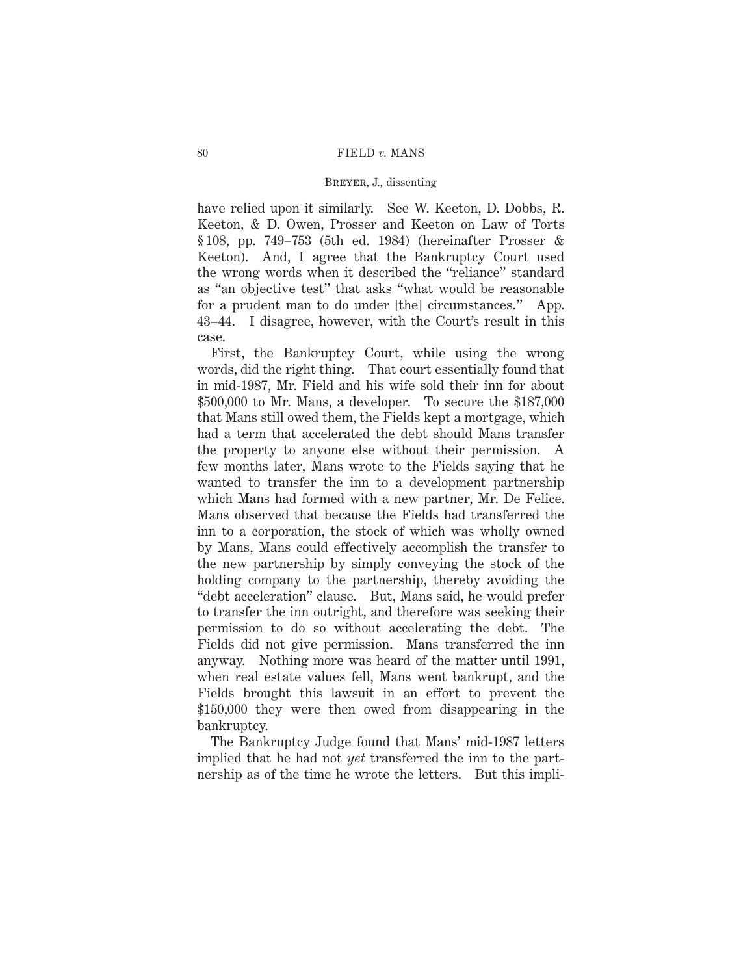have relied upon it similarly. See W. Keeton, D. Dobbs, R. Keeton, & D. Owen, Prosser and Keeton on Law of Torts § 108, pp. 749–753 (5th ed. 1984) (hereinafter Prosser & Keeton). And, I agree that the Bankruptcy Court used the wrong words when it described the "reliance" standard as "an objective test" that asks "what would be reasonable for a prudent man to do under [the] circumstances." App. 43–44. I disagree, however, with the Court's result in this case.

First, the Bankruptcy Court, while using the wrong words, did the right thing. That court essentially found that in mid-1987, Mr. Field and his wife sold their inn for about \$500,000 to Mr. Mans, a developer. To secure the \$187,000 that Mans still owed them, the Fields kept a mortgage, which had a term that accelerated the debt should Mans transfer the property to anyone else without their permission. A few months later, Mans wrote to the Fields saying that he wanted to transfer the inn to a development partnership which Mans had formed with a new partner, Mr. De Felice. Mans observed that because the Fields had transferred the inn to a corporation, the stock of which was wholly owned by Mans, Mans could effectively accomplish the transfer to the new partnership by simply conveying the stock of the holding company to the partnership, thereby avoiding the "debt acceleration" clause. But, Mans said, he would prefer to transfer the inn outright, and therefore was seeking their permission to do so without accelerating the debt. The Fields did not give permission. Mans transferred the inn anyway. Nothing more was heard of the matter until 1991, when real estate values fell, Mans went bankrupt, and the Fields brought this lawsuit in an effort to prevent the \$150,000 they were then owed from disappearing in the bankruptcy.

The Bankruptcy Judge found that Mans' mid-1987 letters implied that he had not *yet* transferred the inn to the partnership as of the time he wrote the letters. But this impli-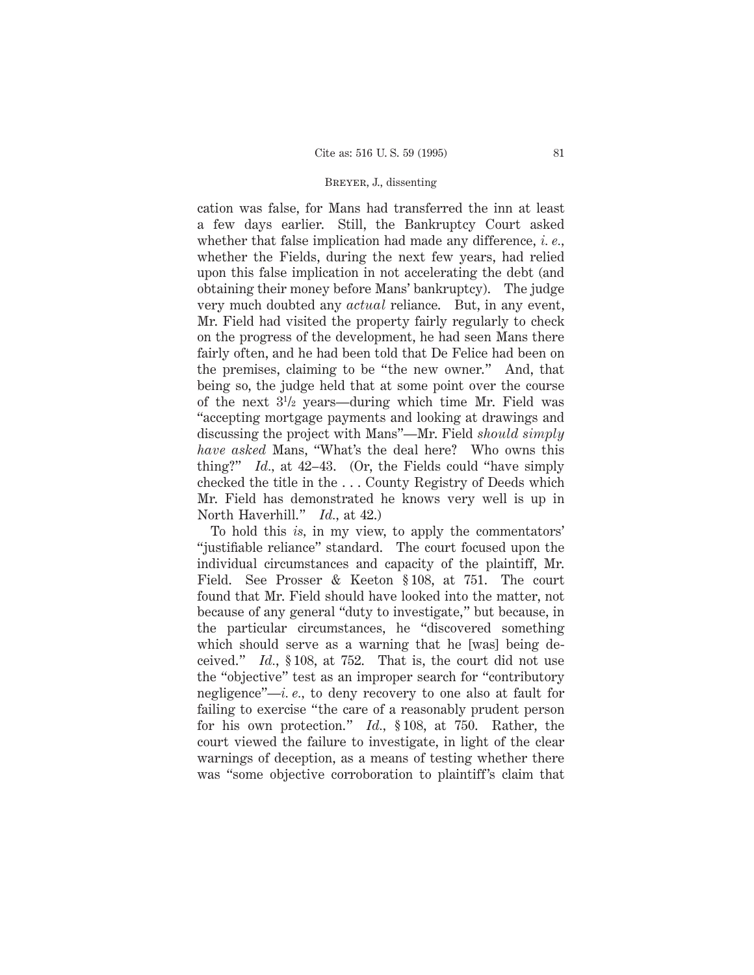cation was false, for Mans had transferred the inn at least a few days earlier. Still, the Bankruptcy Court asked whether that false implication had made any difference, *i. e.,* whether the Fields, during the next few years, had relied upon this false implication in not accelerating the debt (and obtaining their money before Mans' bankruptcy). The judge very much doubted any *actual* reliance. But, in any event, Mr. Field had visited the property fairly regularly to check on the progress of the development, he had seen Mans there fairly often, and he had been told that De Felice had been on the premises, claiming to be "the new owner." And, that being so, the judge held that at some point over the course of the next  $3^{1/2}$  years—during which time Mr. Field was "accepting mortgage payments and looking at drawings and discussing the project with Mans"—Mr. Field *should simply have asked* Mans, "What's the deal here? Who owns this thing?" *Id.,* at 42–43. (Or, the Fields could "have simply checked the title in the... County Registry of Deeds which Mr. Field has demonstrated he knows very well is up in North Haverhill." *Id.,* at 42.)

To hold this *is,* in my view, to apply the commentators' "justifiable reliance" standard. The court focused upon the individual circumstances and capacity of the plaintiff, Mr. Field. See Prosser & Keeton § 108, at 751. The court found that Mr. Field should have looked into the matter, not because of any general "duty to investigate," but because, in the particular circumstances, he "discovered something which should serve as a warning that he [was] being deceived." *Id.*, § 108, at 752. That is, the court did not use the "objective" test as an improper search for "contributory negligence"—*i. e.,* to deny recovery to one also at fault for failing to exercise "the care of a reasonably prudent person for his own protection." *Id.,* § 108, at 750. Rather, the court viewed the failure to investigate, in light of the clear warnings of deception, as a means of testing whether there was "some objective corroboration to plaintiff's claim that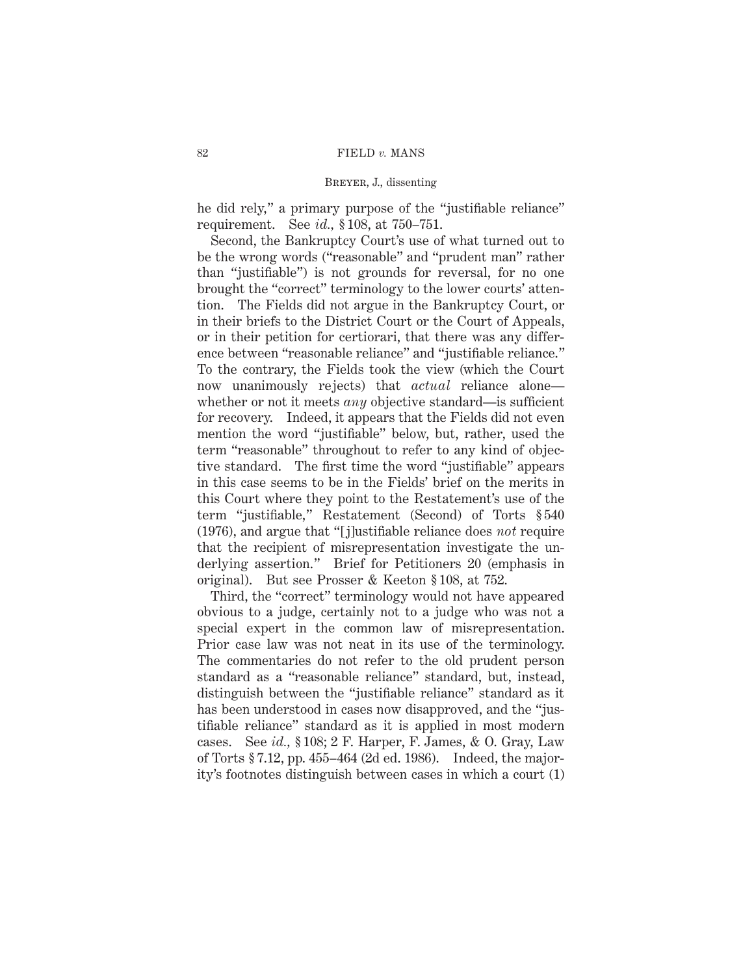he did rely," a primary purpose of the "justifiable reliance" requirement. See *id.,* § 108, at 750–751.

Second, the Bankruptcy Court's use of what turned out to be the wrong words ("reasonable" and "prudent man" rather than "justifiable") is not grounds for reversal, for no one brought the "correct" terminology to the lower courts' attention. The Fields did not argue in the Bankruptcy Court, or in their briefs to the District Court or the Court of Appeals, or in their petition for certiorari, that there was any difference between "reasonable reliance" and "justifiable reliance." To the contrary, the Fields took the view (which the Court now unanimously rejects) that *actual* reliance alone whether or not it meets *any* objective standard—is sufficient for recovery. Indeed, it appears that the Fields did not even mention the word "justifiable" below, but, rather, used the term "reasonable" throughout to refer to any kind of objective standard. The first time the word "justifiable" appears in this case seems to be in the Fields' brief on the merits in this Court where they point to the Restatement's use of the term "justifiable," Restatement (Second) of Torts § 540 (1976), and argue that "[j]ustifiable reliance does *not* require that the recipient of misrepresentation investigate the underlying assertion." Brief for Petitioners 20 (emphasis in original). But see Prosser & Keeton § 108, at 752.

Third, the "correct" terminology would not have appeared obvious to a judge, certainly not to a judge who was not a special expert in the common law of misrepresentation. Prior case law was not neat in its use of the terminology. The commentaries do not refer to the old prudent person standard as a "reasonable reliance" standard, but, instead, distinguish between the "justifiable reliance" standard as it has been understood in cases now disapproved, and the "justifiable reliance" standard as it is applied in most modern cases. See *id.,* § 108; 2 F. Harper, F. James, & O. Gray, Law of Torts § 7.12, pp. 455–464 (2d ed. 1986). Indeed, the majority's footnotes distinguish between cases in which a court (1)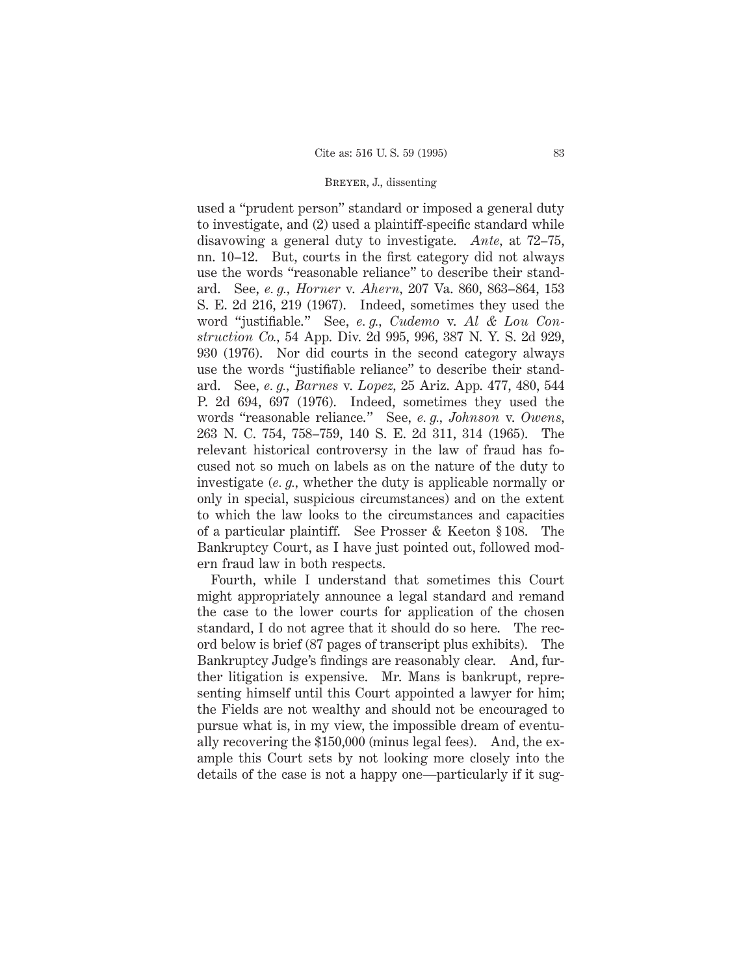used a "prudent person" standard or imposed a general duty to investigate, and (2) used a plaintiff-specific standard while disavowing a general duty to investigate. *Ante,* at 72–75, nn. 10–12. But, courts in the first category did not always use the words "reasonable reliance" to describe their standard. See, *e. g., Horner* v. *Ahern,* 207 Va. 860, 863–864, 153 S. E. 2d 216, 219 (1967). Indeed, sometimes they used the word "justifiable." See, *e. g., Cudemo* v. *Al & Lou Construction Co.,* 54 App. Div. 2d 995, 996, 387 N. Y. S. 2d 929, 930 (1976). Nor did courts in the second category always use the words "justifiable reliance" to describe their standard. See, *e. g., Barnes* v. *Lopez,* 25 Ariz. App. 477, 480, 544 P. 2d 694, 697 (1976). Indeed, sometimes they used the words "reasonable reliance." See, *e. g., Johnson* v. *Owens,* 263 N. C. 754, 758–759, 140 S. E. 2d 311, 314 (1965). The relevant historical controversy in the law of fraud has focused not so much on labels as on the nature of the duty to investigate (*e. g.,* whether the duty is applicable normally or only in special, suspicious circumstances) and on the extent to which the law looks to the circumstances and capacities of a particular plaintiff. See Prosser & Keeton § 108. The Bankruptcy Court, as I have just pointed out, followed modern fraud law in both respects.

Fourth, while I understand that sometimes this Court might appropriately announce a legal standard and remand the case to the lower courts for application of the chosen standard, I do not agree that it should do so here. The record below is brief (87 pages of transcript plus exhibits). The Bankruptcy Judge's findings are reasonably clear. And, further litigation is expensive. Mr. Mans is bankrupt, representing himself until this Court appointed a lawyer for him; the Fields are not wealthy and should not be encouraged to pursue what is, in my view, the impossible dream of eventually recovering the \$150,000 (minus legal fees). And, the example this Court sets by not looking more closely into the details of the case is not a happy one—particularly if it sug-